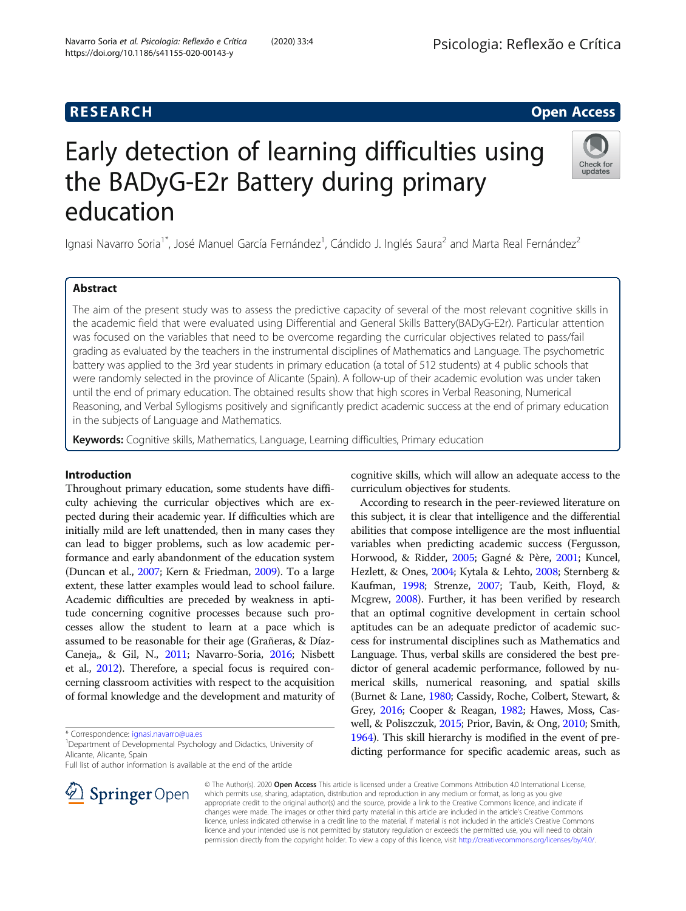# Early detection of learning difficulties using the BADyG-E2r Battery during primary education

Ignasi Navarro Soria<sup>1\*</sup>, José Manuel García Fernández<sup>1</sup>, Cándido J. Inglés Saura<sup>2</sup> and Marta Real Fernández<sup>2</sup>

# Abstract

The aim of the present study was to assess the predictive capacity of several of the most relevant cognitive skills in the academic field that were evaluated using Differential and General Skills Battery(BADyG-E2r). Particular attention was focused on the variables that need to be overcome regarding the curricular objectives related to pass/fail grading as evaluated by the teachers in the instrumental disciplines of Mathematics and Language. The psychometric battery was applied to the 3rd year students in primary education (a total of 512 students) at 4 public schools that were randomly selected in the province of Alicante (Spain). A follow-up of their academic evolution was under taken until the end of primary education. The obtained results show that high scores in Verbal Reasoning, Numerical Reasoning, and Verbal Syllogisms positively and significantly predict academic success at the end of primary education in the subjects of Language and Mathematics.

Keywords: Cognitive skills, Mathematics, Language, Learning difficulties, Primary education

# Introduction

Throughout primary education, some students have difficulty achieving the curricular objectives which are expected during their academic year. If difficulties which are initially mild are left unattended, then in many cases they can lead to bigger problems, such as low academic performance and early abandonment of the education system (Duncan et al., [2007;](#page-9-0) Kern & Friedman, [2009](#page-9-0)). To a large extent, these latter examples would lead to school failure. Academic difficulties are preceded by weakness in aptitude concerning cognitive processes because such processes allow the student to learn at a pace which is assumed to be reasonable for their age (Grañeras, & Díaz-Caneja,, & Gil, N., [2011;](#page-9-0) Navarro-Soria, [2016;](#page-9-0) Nisbett et al., [2012](#page-9-0)). Therefore, a special focus is required concerning classroom activities with respect to the acquisition of formal knowledge and the development and maturity of

\* Correspondence: [ignasi.navarro@ua.es](mailto:ignasi.navarro@ua.es) <sup>1</sup>

SpringerOpen

<sup>1</sup> Department of Developmental Psychology and Didactics, University of Alicante, Alicante, Spain

Full list of author information is available at the end of the article

cognitive skills, which will allow an adequate access to the curriculum objectives for students.

According to research in the peer-reviewed literature on this subject, it is clear that intelligence and the differential abilities that compose intelligence are the most influential variables when predicting academic success (Fergusson, Horwood, & Ridder, [2005](#page-9-0); Gagné & Père, [2001](#page-9-0); Kuncel, Hezlett, & Ones, [2004](#page-9-0); Kytala & Lehto, [2008;](#page-9-0) Sternberg & Kaufman, [1998;](#page-9-0) Strenze, [2007](#page-9-0); Taub, Keith, Floyd, & Mcgrew, [2008\)](#page-9-0). Further, it has been verified by research that an optimal cognitive development in certain school aptitudes can be an adequate predictor of academic success for instrumental disciplines such as Mathematics and Language. Thus, verbal skills are considered the best predictor of general academic performance, followed by numerical skills, numerical reasoning, and spatial skills (Burnet & Lane, [1980;](#page-8-0) Cassidy, Roche, Colbert, Stewart, & Grey, [2016](#page-8-0); Cooper & Reagan, [1982](#page-8-0); Hawes, Moss, Caswell, & Poliszczuk, [2015;](#page-9-0) Prior, Bavin, & Ong, [2010](#page-9-0); Smith, [1964\)](#page-9-0). This skill hierarchy is modified in the event of predicting performance for specific academic areas, such as

© The Author(s). 2020 Open Access This article is licensed under a Creative Commons Attribution 4.0 International License, which permits use, sharing, adaptation, distribution and reproduction in any medium or format, as long as you give appropriate credit to the original author(s) and the source, provide a link to the Creative Commons licence, and indicate if changes were made. The images or other third party material in this article are included in the article's Creative Commons licence, unless indicated otherwise in a credit line to the material. If material is not included in the article's Creative Commons licence and your intended use is not permitted by statutory regulation or exceeds the permitted use, you will need to obtain permission directly from the copyright holder. To view a copy of this licence, visit <http://creativecommons.org/licenses/by/4.0/>.





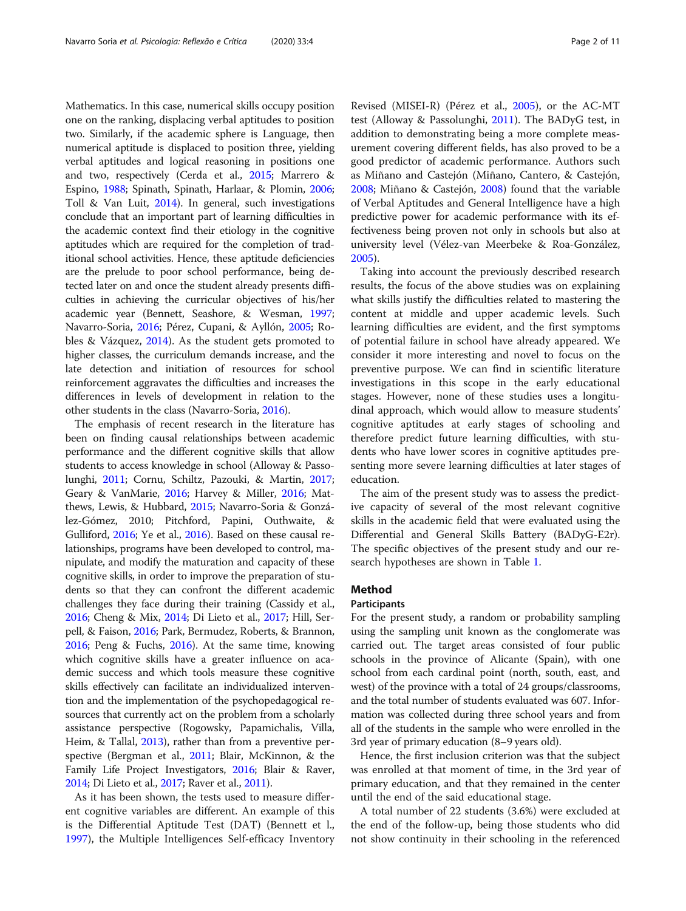Mathematics. In this case, numerical skills occupy position one on the ranking, displacing verbal aptitudes to position two. Similarly, if the academic sphere is Language, then numerical aptitude is displaced to position three, yielding verbal aptitudes and logical reasoning in positions one and two, respectively (Cerda et al., [2015;](#page-8-0) Marrero & Espino, [1988;](#page-9-0) Spinath, Spinath, Harlaar, & Plomin, [2006](#page-9-0); Toll & Van Luit, [2014\)](#page-9-0). In general, such investigations conclude that an important part of learning difficulties in the academic context find their etiology in the cognitive aptitudes which are required for the completion of traditional school activities. Hence, these aptitude deficiencies are the prelude to poor school performance, being detected later on and once the student already presents difficulties in achieving the curricular objectives of his/her academic year (Bennett, Seashore, & Wesman, [1997](#page-8-0); Navarro-Soria, [2016](#page-9-0); Pérez, Cupani, & Ayllón, [2005;](#page-9-0) Robles & Vázquez, [2014](#page-9-0)). As the student gets promoted to higher classes, the curriculum demands increase, and the late detection and initiation of resources for school reinforcement aggravates the difficulties and increases the differences in levels of development in relation to the other students in the class (Navarro-Soria, [2016](#page-9-0)).

The emphasis of recent research in the literature has been on finding causal relationships between academic performance and the different cognitive skills that allow students to access knowledge in school (Alloway & Passolunghi, [2011;](#page-8-0) Cornu, Schiltz, Pazouki, & Martin, [2017](#page-8-0); Geary & VanMarie, [2016](#page-9-0); Harvey & Miller, [2016;](#page-9-0) Matthews, Lewis, & Hubbard, [2015;](#page-9-0) Navarro-Soria & González-Gómez, 2010; Pitchford, Papini, Outhwaite, & Gulliford, [2016](#page-9-0); Ye et al., [2016\)](#page-10-0). Based on these causal relationships, programs have been developed to control, manipulate, and modify the maturation and capacity of these cognitive skills, in order to improve the preparation of students so that they can confront the different academic challenges they face during their training (Cassidy et al., [2016;](#page-8-0) Cheng & Mix, [2014](#page-8-0); Di Lieto et al., [2017](#page-9-0); Hill, Serpell, & Faison, [2016](#page-9-0); Park, Bermudez, Roberts, & Brannon, [2016;](#page-9-0) Peng & Fuchs, [2016\)](#page-9-0). At the same time, knowing which cognitive skills have a greater influence on academic success and which tools measure these cognitive skills effectively can facilitate an individualized intervention and the implementation of the psychopedagogical resources that currently act on the problem from a scholarly assistance perspective (Rogowsky, Papamichalis, Villa, Heim, & Tallal, [2013\)](#page-9-0), rather than from a preventive perspective (Bergman et al., [2011;](#page-8-0) Blair, McKinnon, & the Family Life Project Investigators, [2016](#page-8-0); Blair & Raver, [2014;](#page-8-0) Di Lieto et al., [2017;](#page-9-0) Raver et al., [2011](#page-9-0)).

As it has been shown, the tests used to measure different cognitive variables are different. An example of this is the Differential Aptitude Test (DAT) (Bennett et l., [1997](#page-8-0)), the Multiple Intelligences Self-efficacy Inventory

Revised (MISEI-R) (Pérez et al., [2005\)](#page-9-0), or the AC-MT test (Alloway & Passolunghi, [2011\)](#page-8-0). The BADyG test, in addition to demonstrating being a more complete measurement covering different fields, has also proved to be a good predictor of academic performance. Authors such as Miñano and Castejón (Miñano, Cantero, & Castejón, [2008](#page-9-0); Miñano & Castejón, [2008\)](#page-9-0) found that the variable of Verbal Aptitudes and General Intelligence have a high predictive power for academic performance with its effectiveness being proven not only in schools but also at university level (Vélez-van Meerbeke & Roa-González, [2005](#page-10-0)).

Taking into account the previously described research results, the focus of the above studies was on explaining what skills justify the difficulties related to mastering the content at middle and upper academic levels. Such learning difficulties are evident, and the first symptoms of potential failure in school have already appeared. We consider it more interesting and novel to focus on the preventive purpose. We can find in scientific literature investigations in this scope in the early educational stages. However, none of these studies uses a longitudinal approach, which would allow to measure students' cognitive aptitudes at early stages of schooling and therefore predict future learning difficulties, with students who have lower scores in cognitive aptitudes presenting more severe learning difficulties at later stages of education.

The aim of the present study was to assess the predictive capacity of several of the most relevant cognitive skills in the academic field that were evaluated using the Differential and General Skills Battery (BADyG-E2r). The specific objectives of the present study and our research hypotheses are shown in Table [1](#page-2-0).

# Method

## Participants

For the present study, a random or probability sampling using the sampling unit known as the conglomerate was carried out. The target areas consisted of four public schools in the province of Alicante (Spain), with one school from each cardinal point (north, south, east, and west) of the province with a total of 24 groups/classrooms, and the total number of students evaluated was 607. Information was collected during three school years and from all of the students in the sample who were enrolled in the 3rd year of primary education (8–9 years old).

Hence, the first inclusion criterion was that the subject was enrolled at that moment of time, in the 3rd year of primary education, and that they remained in the center until the end of the said educational stage.

A total number of 22 students (3.6%) were excluded at the end of the follow-up, being those students who did not show continuity in their schooling in the referenced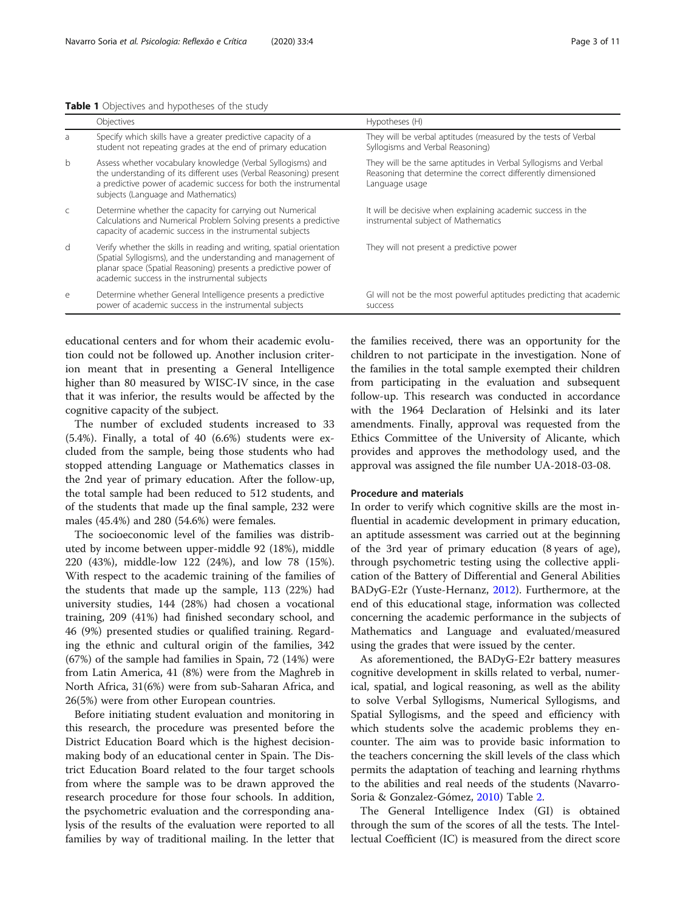## <span id="page-2-0"></span>Table 1 Objectives and hypotheses of the study

| $\sigma$  | Specify Writer SNIIS Have a greater predictive capacity of a<br>student not repeating grades at the end of primary education                                                                                                                               | THEY WILL BE VEIDAL ADULTURES (THEASURED BY THE TESTS OF VEIDAL<br>Syllogisms and Verbal Reasoning)                                               |
|-----------|------------------------------------------------------------------------------------------------------------------------------------------------------------------------------------------------------------------------------------------------------------|---------------------------------------------------------------------------------------------------------------------------------------------------|
| b         | Assess whether vocabulary knowledge (Verbal Syllogisms) and<br>the understanding of its different uses (Verbal Reasoning) present<br>a predictive power of academic success for both the instrumental<br>subjects (Language and Mathematics)               | They will be the same aptitudes in Verbal Syllogisms and Verbal<br>Reasoning that determine the correct differently dimensioned<br>Language usage |
| $\subset$ | Determine whether the capacity for carrying out Numerical<br>Calculations and Numerical Problem Solving presents a predictive<br>capacity of academic success in the instrumental subjects                                                                 | It will be decisive when explaining academic success in the<br>instrumental subject of Mathematics                                                |
| d         | Verify whether the skills in reading and writing, spatial orientation<br>(Spatial Syllogisms), and the understanding and management of<br>planar space (Spatial Reasoning) presents a predictive power of<br>academic success in the instrumental subjects | They will not present a predictive power                                                                                                          |
| e         | Determine whether General Intelligence presents a predictive<br>power of academic success in the instrumental subjects                                                                                                                                     | GI will not be the most powerful aptitudes predicting that academic<br>success                                                                    |

educational centers and for whom their academic evolution could not be followed up. Another inclusion criterion meant that in presenting a General Intelligence higher than 80 measured by WISC-IV since, in the case that it was inferior, the results would be affected by the cognitive capacity of the subject.

The number of excluded students increased to 33 (5.4%). Finally, a total of 40 (6.6%) students were excluded from the sample, being those students who had stopped attending Language or Mathematics classes in the 2nd year of primary education. After the follow-up, the total sample had been reduced to 512 students, and of the students that made up the final sample, 232 were males (45.4%) and 280 (54.6%) were females.

The socioeconomic level of the families was distributed by income between upper-middle 92 (18%), middle 220 (43%), middle-low 122 (24%), and low 78 (15%). With respect to the academic training of the families of the students that made up the sample, 113 (22%) had university studies, 144 (28%) had chosen a vocational training, 209 (41%) had finished secondary school, and 46 (9%) presented studies or qualified training. Regarding the ethnic and cultural origin of the families, 342 (67%) of the sample had families in Spain, 72 (14%) were from Latin America, 41 (8%) were from the Maghreb in North Africa, 31(6%) were from sub-Saharan Africa, and 26(5%) were from other European countries.

Before initiating student evaluation and monitoring in this research, the procedure was presented before the District Education Board which is the highest decisionmaking body of an educational center in Spain. The District Education Board related to the four target schools from where the sample was to be drawn approved the research procedure for those four schools. In addition, the psychometric evaluation and the corresponding analysis of the results of the evaluation were reported to all families by way of traditional mailing. In the letter that the families received, there was an opportunity for the children to not participate in the investigation. None of the families in the total sample exempted their children from participating in the evaluation and subsequent follow-up. This research was conducted in accordance with the 1964 Declaration of Helsinki and its later amendments. Finally, approval was requested from the Ethics Committee of the University of Alicante, which provides and approves the methodology used, and the approval was assigned the file number UA-2018-03-08.

## Procedure and materials

In order to verify which cognitive skills are the most influential in academic development in primary education, an aptitude assessment was carried out at the beginning of the 3rd year of primary education (8 years of age), through psychometric testing using the collective application of the Battery of Differential and General Abilities BADyG-E2r (Yuste-Hernanz, [2012\)](#page-10-0). Furthermore, at the end of this educational stage, information was collected concerning the academic performance in the subjects of Mathematics and Language and evaluated/measured using the grades that were issued by the center.

As aforementioned, the BADyG-E2r battery measures cognitive development in skills related to verbal, numerical, spatial, and logical reasoning, as well as the ability to solve Verbal Syllogisms, Numerical Syllogisms, and Spatial Syllogisms, and the speed and efficiency with which students solve the academic problems they encounter. The aim was to provide basic information to the teachers concerning the skill levels of the class which permits the adaptation of teaching and learning rhythms to the abilities and real needs of the students (Navarro-Soria & Gonzalez-Gómez, [2010\)](#page-9-0) Table [2.](#page-3-0)

The General Intelligence Index (GI) is obtained through the sum of the scores of all the tests. The Intellectual Coefficient (IC) is measured from the direct score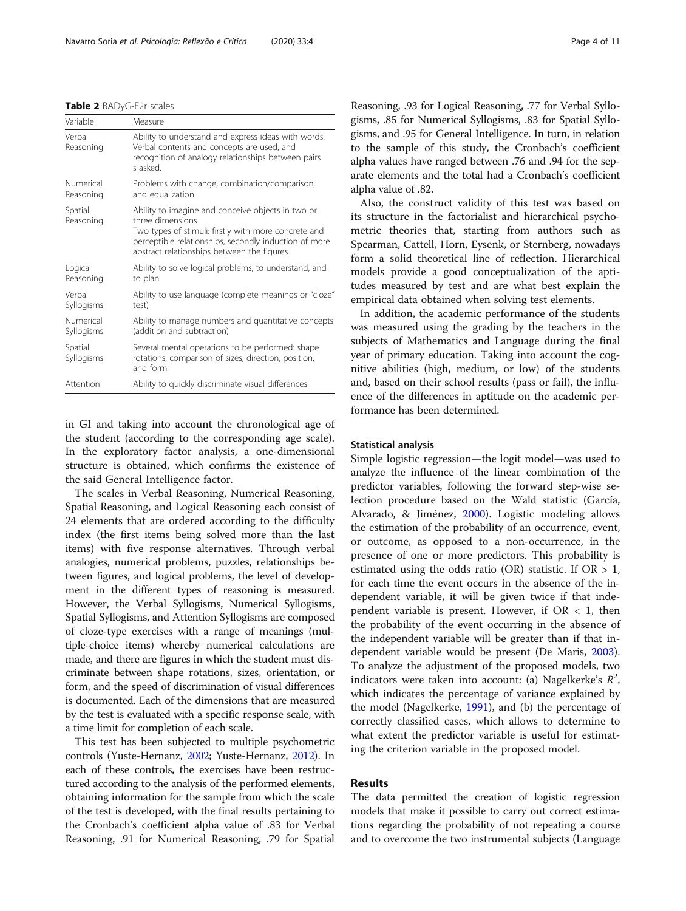<span id="page-3-0"></span>

| Table 2 BADyG-E2r scales |  |
|--------------------------|--|
|--------------------------|--|

| Variable                | Measure                                                                                                                                                                                                                              |
|-------------------------|--------------------------------------------------------------------------------------------------------------------------------------------------------------------------------------------------------------------------------------|
| Verbal<br>Reasoning     | Ability to understand and express ideas with words.<br>Verbal contents and concepts are used, and<br>recognition of analogy relationships between pairs<br>s asked                                                                   |
| Numerical<br>Reasoning  | Problems with change, combination/comparison,<br>and equalization                                                                                                                                                                    |
| Spatial<br>Reasoning    | Ability to imagine and conceive objects in two or<br>three dimensions<br>Two types of stimuli: firstly with more concrete and<br>perceptible relationships, secondly induction of more<br>abstract relationships between the figures |
| Logical<br>Reasoning    | Ability to solve logical problems, to understand, and<br>to plan                                                                                                                                                                     |
| Verbal<br>Syllogisms    | Ability to use language (complete meanings or "cloze"<br>test)                                                                                                                                                                       |
| Numerical<br>Syllogisms | Ability to manage numbers and quantitative concepts<br>(addition and subtraction)                                                                                                                                                    |
| Spatial<br>Syllogisms   | Several mental operations to be performed: shape<br>rotations, comparison of sizes, direction, position,<br>and form                                                                                                                 |
| Attention               | Ability to quickly discriminate visual differences                                                                                                                                                                                   |

in GI and taking into account the chronological age of the student (according to the corresponding age scale). In the exploratory factor analysis, a one-dimensional structure is obtained, which confirms the existence of the said General Intelligence factor.

The scales in Verbal Reasoning, Numerical Reasoning, Spatial Reasoning, and Logical Reasoning each consist of 24 elements that are ordered according to the difficulty index (the first items being solved more than the last items) with five response alternatives. Through verbal analogies, numerical problems, puzzles, relationships between figures, and logical problems, the level of development in the different types of reasoning is measured. However, the Verbal Syllogisms, Numerical Syllogisms, Spatial Syllogisms, and Attention Syllogisms are composed of cloze-type exercises with a range of meanings (multiple-choice items) whereby numerical calculations are made, and there are figures in which the student must discriminate between shape rotations, sizes, orientation, or form, and the speed of discrimination of visual differences is documented. Each of the dimensions that are measured by the test is evaluated with a specific response scale, with a time limit for completion of each scale.

This test has been subjected to multiple psychometric controls (Yuste-Hernanz, [2002;](#page-10-0) Yuste-Hernanz, [2012\)](#page-10-0). In each of these controls, the exercises have been restructured according to the analysis of the performed elements, obtaining information for the sample from which the scale of the test is developed, with the final results pertaining to the Cronbach's coefficient alpha value of .83 for Verbal Reasoning, .91 for Numerical Reasoning, .79 for Spatial Reasoning, .93 for Logical Reasoning, .77 for Verbal Syllogisms, .85 for Numerical Syllogisms, .83 for Spatial Syllogisms, and .95 for General Intelligence. In turn, in relation to the sample of this study, the Cronbach's coefficient alpha values have ranged between .76 and .94 for the separate elements and the total had a Cronbach's coefficient alpha value of .82.

Also, the construct validity of this test was based on its structure in the factorialist and hierarchical psychometric theories that, starting from authors such as Spearman, Cattell, Horn, Eysenk, or Sternberg, nowadays form a solid theoretical line of reflection. Hierarchical models provide a good conceptualization of the aptitudes measured by test and are what best explain the empirical data obtained when solving test elements.

In addition, the academic performance of the students was measured using the grading by the teachers in the subjects of Mathematics and Language during the final year of primary education. Taking into account the cognitive abilities (high, medium, or low) of the students and, based on their school results (pass or fail), the influence of the differences in aptitude on the academic performance has been determined.

## Statistical analysis

Simple logistic regression—the logit model—was used to analyze the influence of the linear combination of the predictor variables, following the forward step-wise selection procedure based on the Wald statistic (García, Alvarado, & Jiménez, [2000\)](#page-9-0). Logistic modeling allows the estimation of the probability of an occurrence, event, or outcome, as opposed to a non-occurrence, in the presence of one or more predictors. This probability is estimated using the odds ratio (OR) statistic. If  $OR > 1$ , for each time the event occurs in the absence of the independent variable, it will be given twice if that independent variable is present. However, if  $OR < 1$ , then the probability of the event occurring in the absence of the independent variable will be greater than if that independent variable would be present (De Maris, [2003](#page-8-0)). To analyze the adjustment of the proposed models, two indicators were taken into account: (a) Nagelkerke's  $R^2$ , which indicates the percentage of variance explained by the model (Nagelkerke, [1991](#page-9-0)), and (b) the percentage of correctly classified cases, which allows to determine to what extent the predictor variable is useful for estimating the criterion variable in the proposed model.

# Results

The data permitted the creation of logistic regression models that make it possible to carry out correct estimations regarding the probability of not repeating a course and to overcome the two instrumental subjects (Language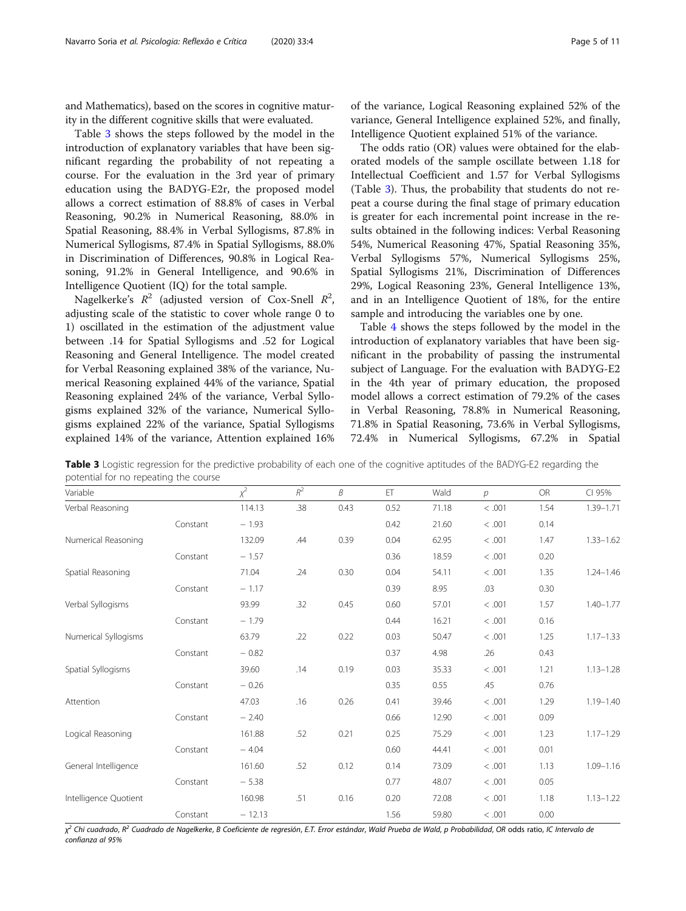and Mathematics), based on the scores in cognitive maturity in the different cognitive skills that were evaluated.

Table 3 shows the steps followed by the model in the introduction of explanatory variables that have been significant regarding the probability of not repeating a course. For the evaluation in the 3rd year of primary education using the BADYG-E2r, the proposed model allows a correct estimation of 88.8% of cases in Verbal Reasoning, 90.2% in Numerical Reasoning, 88.0% in Spatial Reasoning, 88.4% in Verbal Syllogisms, 87.8% in Numerical Syllogisms, 87.4% in Spatial Syllogisms, 88.0% in Discrimination of Differences, 90.8% in Logical Reasoning, 91.2% in General Intelligence, and 90.6% in Intelligence Quotient (IQ) for the total sample.

Nagelkerke's  $R^2$  (adjusted version of Cox-Snell  $R^2$ , adjusting scale of the statistic to cover whole range 0 to 1) oscillated in the estimation of the adjustment value between .14 for Spatial Syllogisms and .52 for Logical Reasoning and General Intelligence. The model created for Verbal Reasoning explained 38% of the variance, Numerical Reasoning explained 44% of the variance, Spatial Reasoning explained 24% of the variance, Verbal Syllogisms explained 32% of the variance, Numerical Syllogisms explained 22% of the variance, Spatial Syllogisms explained 14% of the variance, Attention explained 16% of the variance, Logical Reasoning explained 52% of the variance, General Intelligence explained 52%, and finally, Intelligence Quotient explained 51% of the variance.

The odds ratio (OR) values were obtained for the elaborated models of the sample oscillate between 1.18 for Intellectual Coefficient and 1.57 for Verbal Syllogisms (Table 3). Thus, the probability that students do not repeat a course during the final stage of primary education is greater for each incremental point increase in the results obtained in the following indices: Verbal Reasoning 54%, Numerical Reasoning 47%, Spatial Reasoning 35%, Verbal Syllogisms 57%, Numerical Syllogisms 25%, Spatial Syllogisms 21%, Discrimination of Differences 29%, Logical Reasoning 23%, General Intelligence 13%, and in an Intelligence Quotient of 18%, for the entire sample and introducing the variables one by one.

Table [4](#page-5-0) shows the steps followed by the model in the introduction of explanatory variables that have been significant in the probability of passing the instrumental subject of Language. For the evaluation with BADYG-E2 in the 4th year of primary education, the proposed model allows a correct estimation of 79.2% of the cases in Verbal Reasoning, 78.8% in Numerical Reasoning, 71.8% in Spatial Reasoning, 73.6% in Verbal Syllogisms, 72.4% in Numerical Syllogisms, 67.2% in Spatial

| Variable              |          | $x^2$    | $R^2\,$ | B    | ET   | Wald  | $\overline{p}$ | OR   | CI 95%        |
|-----------------------|----------|----------|---------|------|------|-------|----------------|------|---------------|
| Verbal Reasoning      |          | 114.13   | .38     | 0.43 | 0.52 | 71.18 | < .001         | 1.54 | 1.39-1.71     |
|                       | Constant | $-1.93$  |         |      | 0.42 | 21.60 | < .001         | 0.14 |               |
| Numerical Reasoning   |          | 132.09   | .44     | 0.39 | 0.04 | 62.95 | < .001         | 1.47 | $1.33 - 1.62$ |
|                       | Constant | $-1.57$  |         |      | 0.36 | 18.59 | < .001         | 0.20 |               |
| Spatial Reasoning     |          | 71.04    | .24     | 0.30 | 0.04 | 54.11 | < .001         | 1.35 | $1.24 - 1.46$ |
|                       | Constant | $-1.17$  |         |      | 0.39 | 8.95  | .03            | 0.30 |               |
| Verbal Syllogisms     |          | 93.99    | .32     | 0.45 | 0.60 | 57.01 | < .001         | 1.57 | $1.40 - 1.77$ |
|                       | Constant | $-1.79$  |         |      | 0.44 | 16.21 | < .001         | 0.16 |               |
| Numerical Syllogisms  |          | 63.79    | .22     | 0.22 | 0.03 | 50.47 | < .001         | 1.25 | $1.17 - 1.33$ |
|                       | Constant | $-0.82$  |         |      | 0.37 | 4.98  | .26            | 0.43 |               |
| Spatial Syllogisms    |          | 39.60    | .14     | 0.19 | 0.03 | 35.33 | < .001         | 1.21 | $1.13 - 1.28$ |
|                       | Constant | $-0.26$  |         |      | 0.35 | 0.55  | .45            | 0.76 |               |
| Attention             |          | 47.03    | .16     | 0.26 | 0.41 | 39.46 | < .001         | 1.29 | $1.19 - 1.40$ |
|                       | Constant | $-2.40$  |         |      | 0.66 | 12.90 | < .001         | 0.09 |               |
| Logical Reasoning     |          | 161.88   | .52     | 0.21 | 0.25 | 75.29 | < .001         | 1.23 | $1.17 - 1.29$ |
|                       | Constant | $-4.04$  |         |      | 0.60 | 44.41 | < .001         | 0.01 |               |
| General Intelligence  |          | 161.60   | .52     | 0.12 | 0.14 | 73.09 | < .001         | 1.13 | $1.09 - 1.16$ |
|                       | Constant | $-5.38$  |         |      | 0.77 | 48.07 | < .001         | 0.05 |               |
| Intelligence Quotient |          | 160.98   | .51     | 0.16 | 0.20 | 72.08 | < .001         | 1.18 | $1.13 - 1.22$ |
|                       | Constant | $-12.13$ |         |      | 1.56 | 59.80 | < .001         | 0.00 |               |

Table 3 Logistic regression for the predictive probability of each one of the cognitive aptitudes of the BADYG-E2 regarding the potential for no repeating the course

 $\chi^2$  Chi cuadrado, R<sup>2</sup> Cuadrado de Nagelkerke, B Coeficiente de regresión, E.T. Error estándar, Wald Prueba de Wald, p Probabilidad, OR odds ratio, IC Intervalo de confianza al 95%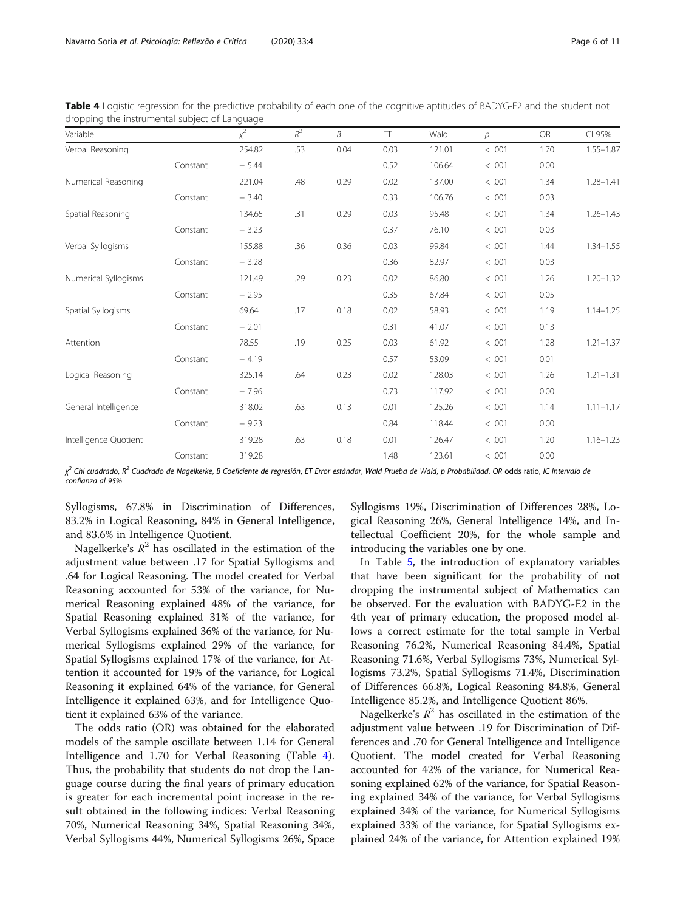<span id="page-5-0"></span>Table 4 Logistic regression for the predictive probability of each one of the cognitive aptitudes of BADYG-E2 and the student not dropping the instrumental subject of Language

| Variable              |          | $x^2$   | $R^2$ | B    | ET   | Wald   | $\mathcal{D}$ | <b>OR</b> | CI 95%        |
|-----------------------|----------|---------|-------|------|------|--------|---------------|-----------|---------------|
| Verbal Reasoning      |          | 254.82  | .53   | 0.04 | 0.03 | 121.01 | < .001        | 1.70      | $1.55 - 1.87$ |
|                       | Constant | $-5.44$ |       |      | 0.52 | 106.64 | < .001        | 0.00      |               |
| Numerical Reasoning   |          | 221.04  | .48   | 0.29 | 0.02 | 137.00 | < .001        | 1.34      | $1.28 - 1.41$ |
|                       | Constant | $-3.40$ |       |      | 0.33 | 106.76 | < .001        | 0.03      |               |
| Spatial Reasoning     |          | 134.65  | .31   | 0.29 | 0.03 | 95.48  | < .001        | 1.34      | $1.26 - 1.43$ |
|                       | Constant | $-3.23$ |       |      | 0.37 | 76.10  | < .001        | 0.03      |               |
| Verbal Syllogisms     |          | 155.88  | .36   | 0.36 | 0.03 | 99.84  | < .001        | 1.44      | $1.34 - 1.55$ |
|                       | Constant | $-3.28$ |       |      | 0.36 | 82.97  | < .001        | 0.03      |               |
| Numerical Syllogisms  |          | 121.49  | .29   | 0.23 | 0.02 | 86.80  | < .001        | 1.26      | $1.20 - 1.32$ |
|                       | Constant | $-2.95$ |       |      | 0.35 | 67.84  | < .001        | 0.05      |               |
| Spatial Syllogisms    |          | 69.64   | .17   | 0.18 | 0.02 | 58.93  | < .001        | 1.19      | $1.14 - 1.25$ |
|                       | Constant | $-2.01$ |       |      | 0.31 | 41.07  | < .001        | 0.13      |               |
| Attention             |          | 78.55   | .19   | 0.25 | 0.03 | 61.92  | < .001        | 1.28      | $1.21 - 1.37$ |
|                       | Constant | $-4.19$ |       |      | 0.57 | 53.09  | < .001        | 0.01      |               |
| Logical Reasoning     |          | 325.14  | .64   | 0.23 | 0.02 | 128.03 | < .001        | 1.26      | $1.21 - 1.31$ |
|                       | Constant | $-7.96$ |       |      | 0.73 | 117.92 | < .001        | 0.00      |               |
| General Intelligence  |          | 318.02  | .63   | 0.13 | 0.01 | 125.26 | < .001        | 1.14      | $1.11 - 1.17$ |
|                       | Constant | $-9.23$ |       |      | 0.84 | 118.44 | < .001        | 0.00      |               |
| Intelligence Quotient |          | 319.28  | .63   | 0.18 | 0.01 | 126.47 | < .001        | 1.20      | $1.16 - 1.23$ |
|                       | Constant | 319.28  |       |      | 1.48 | 123.61 | < .001        | 0.00      |               |

χ<sup>2</sup> Chi cuadrado, R<sup>2</sup> Cuadrado de Nagelkerke, B Coeficiente de regresión, ET Error estándar, Wald Prueba de Wald, p Probabilidad, OR odds ratio, IC Intervalo de confianza al 95%

Syllogisms, 67.8% in Discrimination of Differences, 83.2% in Logical Reasoning, 84% in General Intelligence, and 83.6% in Intelligence Quotient.

Nagelkerke's  $R^2$  has oscillated in the estimation of the adjustment value between .17 for Spatial Syllogisms and .64 for Logical Reasoning. The model created for Verbal Reasoning accounted for 53% of the variance, for Numerical Reasoning explained 48% of the variance, for Spatial Reasoning explained 31% of the variance, for Verbal Syllogisms explained 36% of the variance, for Numerical Syllogisms explained 29% of the variance, for Spatial Syllogisms explained 17% of the variance, for Attention it accounted for 19% of the variance, for Logical Reasoning it explained 64% of the variance, for General Intelligence it explained 63%, and for Intelligence Quotient it explained 63% of the variance.

The odds ratio (OR) was obtained for the elaborated models of the sample oscillate between 1.14 for General Intelligence and 1.70 for Verbal Reasoning (Table 4). Thus, the probability that students do not drop the Language course during the final years of primary education is greater for each incremental point increase in the result obtained in the following indices: Verbal Reasoning 70%, Numerical Reasoning 34%, Spatial Reasoning 34%, Verbal Syllogisms 44%, Numerical Syllogisms 26%, Space Syllogisms 19%, Discrimination of Differences 28%, Logical Reasoning 26%, General Intelligence 14%, and Intellectual Coefficient 20%, for the whole sample and introducing the variables one by one.

In Table [5,](#page-6-0) the introduction of explanatory variables that have been significant for the probability of not dropping the instrumental subject of Mathematics can be observed. For the evaluation with BADYG-E2 in the 4th year of primary education, the proposed model allows a correct estimate for the total sample in Verbal Reasoning 76.2%, Numerical Reasoning 84.4%, Spatial Reasoning 71.6%, Verbal Syllogisms 73%, Numerical Syllogisms 73.2%, Spatial Syllogisms 71.4%, Discrimination of Differences 66.8%, Logical Reasoning 84.8%, General Intelligence 85.2%, and Intelligence Quotient 86%.

Nagelkerke's  $R^2$  has oscillated in the estimation of the adjustment value between .19 for Discrimination of Differences and .70 for General Intelligence and Intelligence Quotient. The model created for Verbal Reasoning accounted for 42% of the variance, for Numerical Reasoning explained 62% of the variance, for Spatial Reasoning explained 34% of the variance, for Verbal Syllogisms explained 34% of the variance, for Numerical Syllogisms explained 33% of the variance, for Spatial Syllogisms explained 24% of the variance, for Attention explained 19%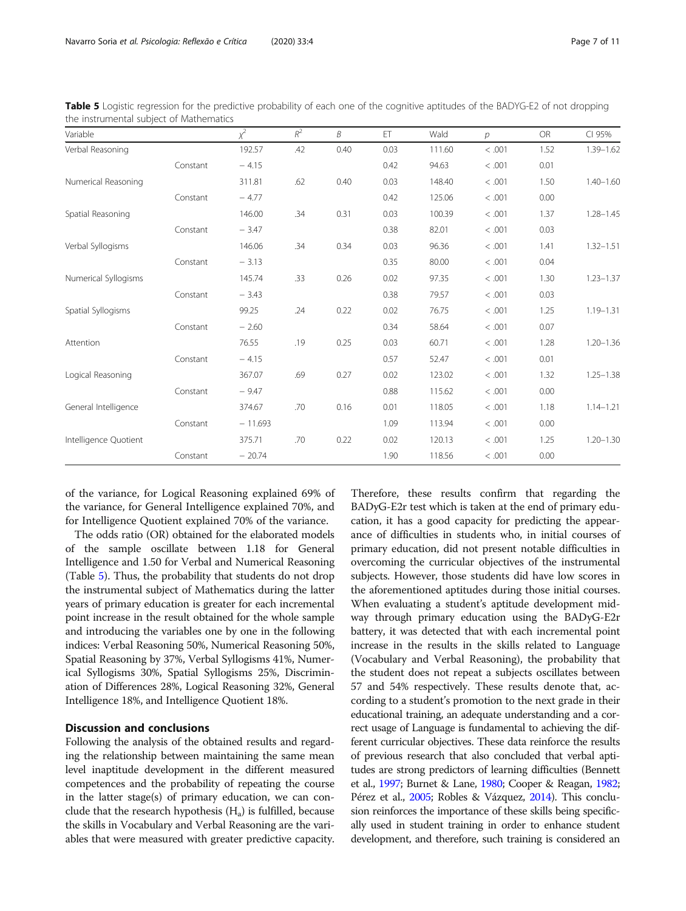| Variable              |          | $x^2$     | $R^2$ | B    | ET   | Wald   | $\mathcal{D}$ | <b>OR</b> | CI 95%        |
|-----------------------|----------|-----------|-------|------|------|--------|---------------|-----------|---------------|
| Verbal Reasoning      |          | 192.57    | .42   | 0.40 | 0.03 | 111.60 | < .001        | 1.52      | $1.39 - 1.62$ |
|                       | Constant | $-4.15$   |       |      | 0.42 | 94.63  | < .001        | 0.01      |               |
| Numerical Reasoning   |          | 311.81    | .62   | 0.40 | 0.03 | 148.40 | < .001        | 1.50      | $1.40 - 1.60$ |
|                       | Constant | $-4.77$   |       |      | 0.42 | 125.06 | < .001        | 0.00      |               |
| Spatial Reasoning     |          | 146.00    | .34   | 0.31 | 0.03 | 100.39 | < .001        | 1.37      | $1.28 - 1.45$ |
|                       | Constant | $-3.47$   |       |      | 0.38 | 82.01  | < .001        | 0.03      |               |
| Verbal Syllogisms     |          | 146.06    | .34   | 0.34 | 0.03 | 96.36  | < .001        | 1.41      | $1.32 - 1.51$ |
|                       | Constant | $-3.13$   |       |      | 0.35 | 80.00  | < .001        | 0.04      |               |
| Numerical Syllogisms  |          | 145.74    | .33   | 0.26 | 0.02 | 97.35  | < .001        | 1.30      | $1.23 - 1.37$ |
|                       | Constant | $-3.43$   |       |      | 0.38 | 79.57  | < .001        | 0.03      |               |
| Spatial Syllogisms    |          | 99.25     | .24   | 0.22 | 0.02 | 76.75  | < .001        | 1.25      | $1.19 - 1.31$ |
|                       | Constant | $-2.60$   |       |      | 0.34 | 58.64  | < .001        | 0.07      |               |
| Attention             |          | 76.55     | .19   | 0.25 | 0.03 | 60.71  | < .001        | 1.28      | $1.20 - 1.36$ |
|                       | Constant | $-4.15$   |       |      | 0.57 | 52.47  | < .001        | 0.01      |               |
| Logical Reasoning     |          | 367.07    | .69   | 0.27 | 0.02 | 123.02 | < .001        | 1.32      | $1.25 - 1.38$ |
|                       | Constant | $-9.47$   |       |      | 0.88 | 115.62 | < .001        | 0.00      |               |
| General Intelligence  |          | 374.67    | .70   | 0.16 | 0.01 | 118.05 | < .001        | 1.18      | $1.14 - 1.21$ |
|                       | Constant | $-11.693$ |       |      | 1.09 | 113.94 | < .001        | 0.00      |               |
| Intelligence Quotient |          | 375.71    | .70   | 0.22 | 0.02 | 120.13 | < .001        | 1.25      | $1.20 - 1.30$ |
|                       | Constant | $-20.74$  |       |      | 1.90 | 118.56 | < .001        | 0.00      |               |

<span id="page-6-0"></span>Table 5 Logistic regression for the predictive probability of each one of the cognitive aptitudes of the BADYG-E2 of not dropping the instrumental subject of Mathematics

of the variance, for Logical Reasoning explained 69% of the variance, for General Intelligence explained 70%, and for Intelligence Quotient explained 70% of the variance.

The odds ratio (OR) obtained for the elaborated models of the sample oscillate between 1.18 for General Intelligence and 1.50 for Verbal and Numerical Reasoning (Table 5). Thus, the probability that students do not drop the instrumental subject of Mathematics during the latter years of primary education is greater for each incremental point increase in the result obtained for the whole sample and introducing the variables one by one in the following indices: Verbal Reasoning 50%, Numerical Reasoning 50%, Spatial Reasoning by 37%, Verbal Syllogisms 41%, Numerical Syllogisms 30%, Spatial Syllogisms 25%, Discrimination of Differences 28%, Logical Reasoning 32%, General Intelligence 18%, and Intelligence Quotient 18%.

# Discussion and conclusions

Following the analysis of the obtained results and regarding the relationship between maintaining the same mean level inaptitude development in the different measured competences and the probability of repeating the course in the latter stage(s) of primary education, we can conclude that the research hypothesis  $(H_a)$  is fulfilled, because the skills in Vocabulary and Verbal Reasoning are the variables that were measured with greater predictive capacity.

Therefore, these results confirm that regarding the BADyG-E2r test which is taken at the end of primary education, it has a good capacity for predicting the appearance of difficulties in students who, in initial courses of primary education, did not present notable difficulties in overcoming the curricular objectives of the instrumental subjects. However, those students did have low scores in the aforementioned aptitudes during those initial courses. When evaluating a student's aptitude development midway through primary education using the BADyG-E2r battery, it was detected that with each incremental point increase in the results in the skills related to Language (Vocabulary and Verbal Reasoning), the probability that the student does not repeat a subjects oscillates between 57 and 54% respectively. These results denote that, according to a student's promotion to the next grade in their educational training, an adequate understanding and a correct usage of Language is fundamental to achieving the different curricular objectives. These data reinforce the results of previous research that also concluded that verbal aptitudes are strong predictors of learning difficulties (Bennett et al., [1997;](#page-8-0) Burnet & Lane, [1980](#page-8-0); Cooper & Reagan, [1982](#page-8-0); Pérez et al., [2005](#page-9-0); Robles & Vázquez, [2014\)](#page-9-0). This conclusion reinforces the importance of these skills being specifically used in student training in order to enhance student development, and therefore, such training is considered an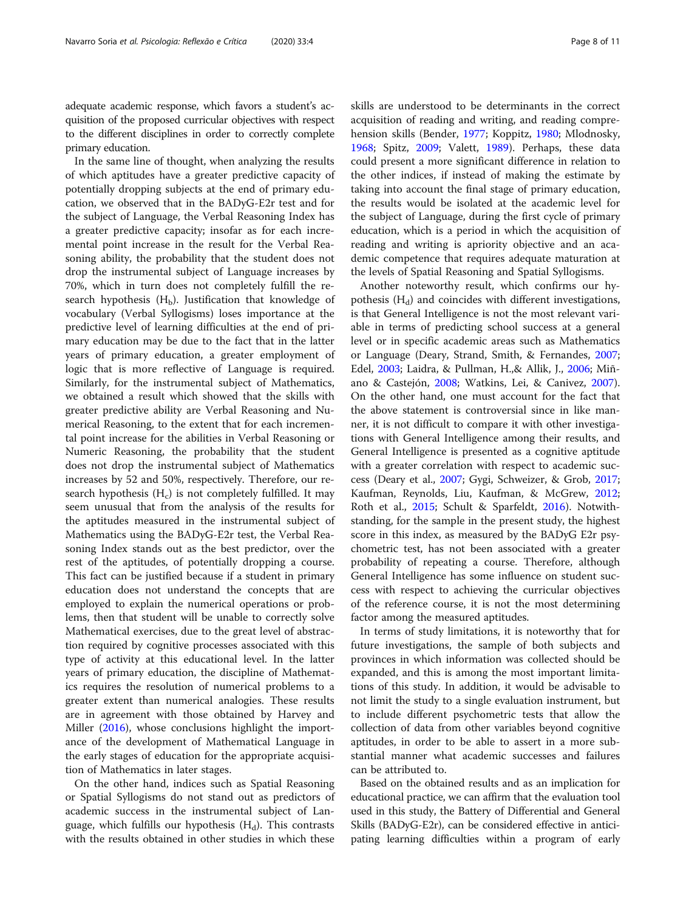In the same line of thought, when analyzing the results of which aptitudes have a greater predictive capacity of potentially dropping subjects at the end of primary education, we observed that in the BADyG-E2r test and for the subject of Language, the Verbal Reasoning Index has a greater predictive capacity; insofar as for each incremental point increase in the result for the Verbal Reasoning ability, the probability that the student does not drop the instrumental subject of Language increases by 70%, which in turn does not completely fulfill the research hypothesis  $(H_b)$ . Justification that knowledge of vocabulary (Verbal Syllogisms) loses importance at the predictive level of learning difficulties at the end of primary education may be due to the fact that in the latter years of primary education, a greater employment of logic that is more reflective of Language is required. Similarly, for the instrumental subject of Mathematics, we obtained a result which showed that the skills with greater predictive ability are Verbal Reasoning and Numerical Reasoning, to the extent that for each incremental point increase for the abilities in Verbal Reasoning or Numeric Reasoning, the probability that the student does not drop the instrumental subject of Mathematics increases by 52 and 50%, respectively. Therefore, our research hypothesis  $(H<sub>c</sub>)$  is not completely fulfilled. It may seem unusual that from the analysis of the results for the aptitudes measured in the instrumental subject of Mathematics using the BADyG-E2r test, the Verbal Reasoning Index stands out as the best predictor, over the rest of the aptitudes, of potentially dropping a course. This fact can be justified because if a student in primary education does not understand the concepts that are employed to explain the numerical operations or problems, then that student will be unable to correctly solve Mathematical exercises, due to the great level of abstraction required by cognitive processes associated with this type of activity at this educational level. In the latter years of primary education, the discipline of Mathematics requires the resolution of numerical problems to a greater extent than numerical analogies. These results are in agreement with those obtained by Harvey and Miller [\(2016\)](#page-9-0), whose conclusions highlight the importance of the development of Mathematical Language in the early stages of education for the appropriate acquisition of Mathematics in later stages.

On the other hand, indices such as Spatial Reasoning or Spatial Syllogisms do not stand out as predictors of academic success in the instrumental subject of Language, which fulfills our hypothesis  $(H_d)$ . This contrasts with the results obtained in other studies in which these skills are understood to be determinants in the correct acquisition of reading and writing, and reading comprehension skills (Bender, [1977;](#page-8-0) Koppitz, [1980](#page-9-0); Mlodnosky, [1968](#page-9-0); Spitz, [2009](#page-9-0); Valett, [1989\)](#page-9-0). Perhaps, these data could present a more significant difference in relation to the other indices, if instead of making the estimate by taking into account the final stage of primary education, the results would be isolated at the academic level for the subject of Language, during the first cycle of primary education, which is a period in which the acquisition of reading and writing is apriority objective and an academic competence that requires adequate maturation at the levels of Spatial Reasoning and Spatial Syllogisms.

Another noteworthy result, which confirms our hypothesis  $(H_d)$  and coincides with different investigations, is that General Intelligence is not the most relevant variable in terms of predicting school success at a general level or in specific academic areas such as Mathematics or Language (Deary, Strand, Smith, & Fernandes, [2007](#page-8-0); Edel, [2003;](#page-9-0) Laidra, & Pullman, H.,& Allik, J., [2006](#page-9-0); Miñano & Castejón, [2008](#page-9-0); Watkins, Lei, & Canivez, [2007](#page-10-0)). On the other hand, one must account for the fact that the above statement is controversial since in like manner, it is not difficult to compare it with other investigations with General Intelligence among their results, and General Intelligence is presented as a cognitive aptitude with a greater correlation with respect to academic success (Deary et al., [2007;](#page-8-0) Gygi, Schweizer, & Grob, [2017](#page-9-0); Kaufman, Reynolds, Liu, Kaufman, & McGrew, [2012](#page-9-0); Roth et al., [2015;](#page-9-0) Schult & Sparfeldt, [2016](#page-9-0)). Notwithstanding, for the sample in the present study, the highest score in this index, as measured by the BADyG E2r psychometric test, has not been associated with a greater probability of repeating a course. Therefore, although General Intelligence has some influence on student success with respect to achieving the curricular objectives of the reference course, it is not the most determining factor among the measured aptitudes.

In terms of study limitations, it is noteworthy that for future investigations, the sample of both subjects and provinces in which information was collected should be expanded, and this is among the most important limitations of this study. In addition, it would be advisable to not limit the study to a single evaluation instrument, but to include different psychometric tests that allow the collection of data from other variables beyond cognitive aptitudes, in order to be able to assert in a more substantial manner what academic successes and failures can be attributed to.

Based on the obtained results and as an implication for educational practice, we can affirm that the evaluation tool used in this study, the Battery of Differential and General Skills (BADyG-E2r), can be considered effective in anticipating learning difficulties within a program of early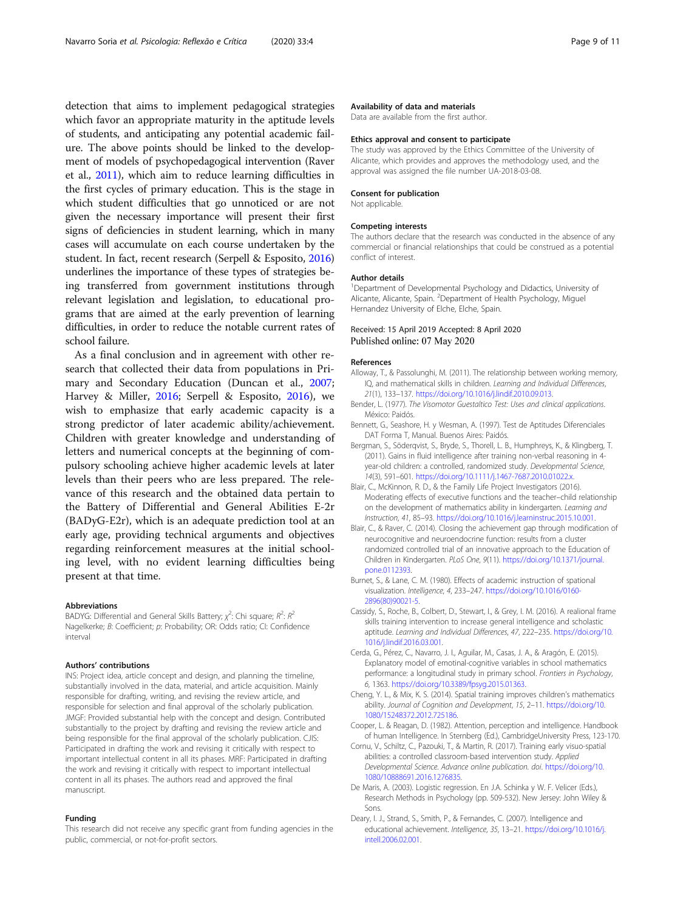<span id="page-8-0"></span>detection that aims to implement pedagogical strategies which favor an appropriate maturity in the aptitude levels of students, and anticipating any potential academic failure. The above points should be linked to the development of models of psychopedagogical intervention (Raver et al., [2011](#page-9-0)), which aim to reduce learning difficulties in the first cycles of primary education. This is the stage in which student difficulties that go unnoticed or are not given the necessary importance will present their first signs of deficiencies in student learning, which in many cases will accumulate on each course undertaken by the student. In fact, recent research (Serpell & Esposito, [2016](#page-9-0)) underlines the importance of these types of strategies being transferred from government institutions through relevant legislation and legislation, to educational programs that are aimed at the early prevention of learning difficulties, in order to reduce the notable current rates of school failure.

As a final conclusion and in agreement with other research that collected their data from populations in Primary and Secondary Education (Duncan et al., [2007](#page-9-0); Harvey & Miller, [2016;](#page-9-0) Serpell & Esposito, [2016\)](#page-9-0), we wish to emphasize that early academic capacity is a strong predictor of later academic ability/achievement. Children with greater knowledge and understanding of letters and numerical concepts at the beginning of compulsory schooling achieve higher academic levels at later levels than their peers who are less prepared. The relevance of this research and the obtained data pertain to the Battery of Differential and General Abilities E-2r (BADyG-E2r), which is an adequate prediction tool at an early age, providing technical arguments and objectives regarding reinforcement measures at the initial schooling level, with no evident learning difficulties being present at that time.

#### Abbreviations

BADYG: Differential and General Skills Battery;  $\chi^2$ : Chi square;  $R^2$ :  $R^2$ Nagelkerke; B: Coefficient; p: Probability; OR: Odds ratio; CI: Confidence interval

### Authors' contributions

INS: Project idea, article concept and design, and planning the timeline, substantially involved in the data, material, and article acquisition. Mainly responsible for drafting, writing, and revising the review article, and responsible for selection and final approval of the scholarly publication. JMGF: Provided substantial help with the concept and design. Contributed substantially to the project by drafting and revising the review article and being responsible for the final approval of the scholarly publication. CJIS: Participated in drafting the work and revising it critically with respect to important intellectual content in all its phases. MRF: Participated in drafting the work and revising it critically with respect to important intellectual content in all its phases. The authors read and approved the final manuscript.

#### Funding

This research did not receive any specific grant from funding agencies in the public, commercial, or not-for-profit sectors.

## Availability of data and materials

Data are available from the first author.

#### Ethics approval and consent to participate

The study was approved by the Ethics Committee of the University of Alicante, which provides and approves the methodology used, and the approval was assigned the file number UA-2018-03-08.

#### Consent for publication

Not applicable.

#### Competing interests

The authors declare that the research was conducted in the absence of any commercial or financial relationships that could be construed as a potential conflict of interest.

#### Author details

<sup>1</sup>Department of Developmental Psychology and Didactics, University of Alicante, Alicante, Spain. <sup>2</sup>Department of Health Psychology, Miguel Hernandez University of Elche, Elche, Spain.

#### Received: 15 April 2019 Accepted: 8 April 2020 Published online: 07 May 2020

#### References

- Alloway, T., & Passolunghi, M. (2011). The relationship between working memory, IQ, and mathematical skills in children. Learning and Individual Differences, 21(1), 133–137. <https://doi.org/10.1016/j.lindif.2010.09.013>.
- Bender, L. (1977). The Visomotor Guestaltico Test: Uses and clinical applications. México: Paidós.
- Bennett, G., Seashore, H. y Wesman, A. (1997). Test de Aptitudes Diferenciales DAT Forma T, Manual. Buenos Aires: Paidós.
- Bergman, S., Söderqvist, S., Bryde, S., Thorell, L. B., Humphreys, K., & Klingberg, T. (2011). Gains in fluid intelligence after training non-verbal reasoning in 4 year-old children: a controlled, randomized study. Developmental Science, 14(3), 591–601. [https://doi.org/10.1111/j.1467-7687.2010.01022.x.](https://doi.org/10.1111/j.1467-7687.2010.01022.x)
- Blair, C., McKinnon, R. D., & the Family Life Project Investigators (2016). Moderating effects of executive functions and the teacher–child relationship on the development of mathematics ability in kindergarten. Learning and Instruction, 41, 85–93. <https://doi.org/10.1016/j.learninstruc.2015.10.001>.
- Blair, C., & Raver, C. (2014). Closing the achievement gap through modification of neurocognitive and neuroendocrine function: results from a cluster randomized controlled trial of an innovative approach to the Education of Children in Kindergarten. PLoS One, 9(11). [https://doi.org/10.1371/journal.](https://doi.org/10.1371/journal.pone.0112393) [pone.0112393.](https://doi.org/10.1371/journal.pone.0112393)
- Burnet, S., & Lane, C. M. (1980). Effects of academic instruction of spational visualization. Intelligence, 4, 233–247. [https://doi.org/10.1016/0160-](https://doi.org/10.1016/0160-2896(80)90021-5) [2896\(80\)90021-5](https://doi.org/10.1016/0160-2896(80)90021-5).
- Cassidy, S., Roche, B., Colbert, D., Stewart, I., & Grey, I. M. (2016). A realional frame skills training intervention to increase general intelligence and scholastic aptitude. Learning and Individual Differences, 47, 222–235. [https://doi.org/10.](https://doi.org/10.1016/j.lindif.2016.03.001) [1016/j.lindif.2016.03.001.](https://doi.org/10.1016/j.lindif.2016.03.001)
- Cerda, G., Pérez, C., Navarro, J. I., Aguilar, M., Casas, J. A., & Aragón, E. (2015). Explanatory model of emotinal-cognitive variables in school mathematics performance: a longitudinal study in primary school. Frontiers in Psychology, 6, 1363. [https://doi.org/10.3389/fpsyg.2015.01363.](https://doi.org/10.3389/fpsyg.2015.01363)
- Cheng, Y. L., & Mix, K. S. (2014). Spatial training improves children's mathematics ability. Journal of Cognition and Development, 15, 2–11. [https://doi.org/10.](https://doi.org/10.1080/15248372.2012.725186) [1080/15248372.2012.725186.](https://doi.org/10.1080/15248372.2012.725186)
- Cooper, L. & Reagan, D. (1982). Attention, perception and intelligence. Handbook of human Intelligence. In Sternberg (Ed.), CambridgeUniversity Press, 123-170.
- Cornu, V., Schiltz, C., Pazouki, T., & Martin, R. (2017). Training early visuo-spatial abilities: a controlled classroom-based intervention study. Applied Developmental Science. Advance online publication. doi. [https://doi.org/10.](https://doi.org/10.1080/10888691.2016.1276835) [1080/10888691.2016.1276835](https://doi.org/10.1080/10888691.2016.1276835).
- De Maris, A. (2003). Logistic regression. En J.A. Schinka y W. F. Velicer (Eds.), Research Methods in Psychology (pp. 509-532). New Jersey: John Wiley & Sons.
- Deary, I. J., Strand, S., Smith, P., & Fernandes, C. (2007). Intelligence and educational achievement. Intelligence, 35, 13–21. [https://doi.org/10.1016/j.](https://doi.org/10.1016/j.intell.2006.02.001) [intell.2006.02.001.](https://doi.org/10.1016/j.intell.2006.02.001)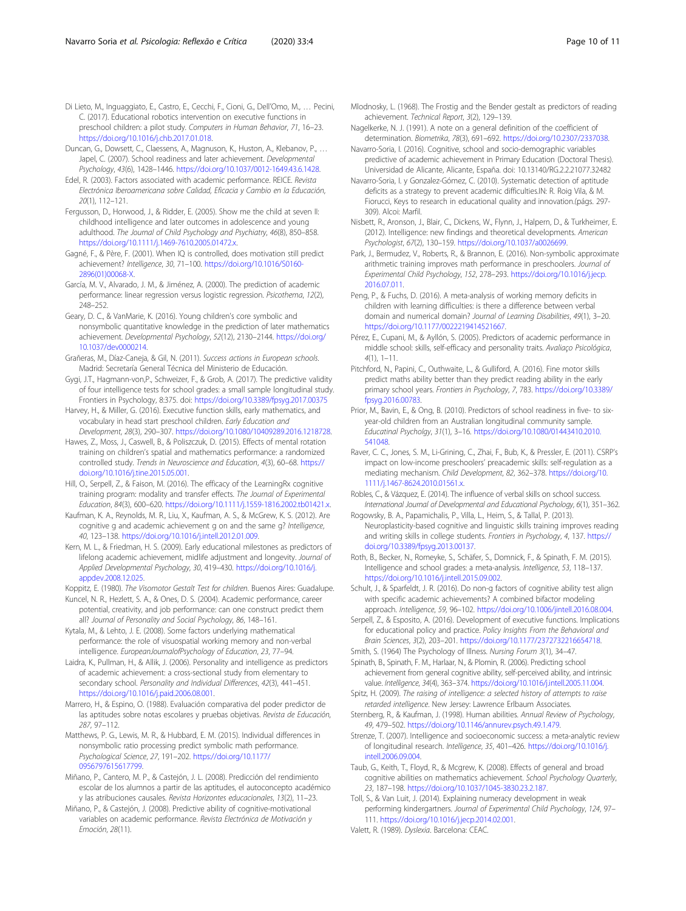<span id="page-9-0"></span>Di Lieto, M., Inguaggiato, E., Castro, E., Cecchi, F., Cioni, G., Dell'Omo, M., … Pecini, C. (2017). Educational robotics intervention on executive functions in preschool children: a pilot study. Computers in Human Behavior, 71, 16–23. [https://doi.org/10.1016/j.chb.2017.01.018.](https://doi.org/10.1016/j.chb.2017.01.018)

Duncan, G., Dowsett, C., Claessens, A., Magnuson, K., Huston, A., Klebanov, P., … Japel, C. (2007). School readiness and later achievement. Developmental Psychology, 43(6), 1428–1446. <https://doi.org/10.1037/0012-1649.43.6.1428>.

Edel, R. (2003). Factors associated with academic performance. REICE. Revista Electrónica Iberoamericana sobre Calidad, Eficacia y Cambio en la Educación, 20(1), 112–121.

Fergusson, D., Horwood, J., & Ridder, E. (2005). Show me the child at seven II: childhood intelligence and later outcomes in adolescence and young adulthood. The Journal of Child Psychology and Psychiatry, 46(8), 850–858. <https://doi.org/10.1111/j.1469-7610.2005.01472.x>.

Gagné, F., & Père, F. (2001). When IQ is controlled, does motivation still predict achievement? Intelligence, 30, 71–100. [https://doi.org/10.1016/S0160-](https://doi.org/10.1016/S0160-2896(01)00068-X) [2896\(01\)00068-X.](https://doi.org/10.1016/S0160-2896(01)00068-X)

García, M. V., Alvarado, J. M., & Jiménez, A. (2000). The prediction of academic performance: linear regression versus logistic regression. Psicothema, 12(2), 248–252.

Geary, D. C., & VanMarie, K. (2016). Young children's core symbolic and nonsymbolic quantitative knowledge in the prediction of later mathematics achievement. Developmental Psychology, 52(12), 2130–2144. [https://doi.org/](https://doi.org/10.1037/dev0000214) [10.1037/dev0000214](https://doi.org/10.1037/dev0000214).

Grañeras, M., Díaz-Caneja, & Gil, N. (2011). Success actions in European schools. Madrid: Secretaría General Técnica del Ministerio de Educación.

Gygi, J.T., Hagmann-von,P., Schweizer, F., & Grob, A. (2017). The predictive validity of four intelligence tests for school grades: a small sample longitudinal study. Frontiers in Psychology, 8:375. doi: <https://doi.org/10.3389/fpsyg.2017.00375>

Harvey, H., & Miller, G. (2016). Executive function skills, early mathematics, and vocabulary in head start preschool children. Early Education and Development, 28(3), 290–307. [https://doi.org/10.1080/10409289.2016.1218728.](https://doi.org/10.1080/10409289.2016.1218728)

Hawes, Z., Moss, J., Caswell, B., & Poliszczuk, D. (2015). Effects of mental rotation training on children's spatial and mathematics performance: a randomized controlled study. Trends in Neuroscience and Education, 4(3), 60–68. [https://](https://doi.org/10.1016/j.tine.2015.05.001) [doi.org/10.1016/j.tine.2015.05.001](https://doi.org/10.1016/j.tine.2015.05.001).

Hill, O., Serpell, Z., & Faison, M. (2016). The efficacy of the LearningRx cognitive training program: modality and transfer effects. The Journal of Experimental Education, 84(3), 600–620. <https://doi.org/10.1111/j.1559-1816.2002.tb01421.x>.

Kaufman, K. A., Reynolds, M. R., Liu, X., Kaufman, A. S., & McGrew, K. S. (2012). Are cognitive g and academic achievement g on and the same g? Intelligence, 40, 123–138. [https://doi.org/10.1016/j.intell.2012.01.009.](https://doi.org/10.1016/j.intell.2012.01.009)

Kern, M. L., & Friedman, H. S. (2009). Early educational milestones as predictors of lifelong academic achievement, midlife adjustment and longevity. Journal of Applied Developmental Psychology, 30, 419–430. [https://doi.org/10.1016/j.](https://doi.org/10.1016/j.appdev.2008.12.025) [appdev.2008.12.025](https://doi.org/10.1016/j.appdev.2008.12.025).

Koppitz, E. (1980). The Visomotor Gestalt Test for children. Buenos Aires: Guadalupe.

Kuncel, N. R., Hezlett, S. A., & Ones, D. S. (2004). Academic performance, career potential, creativity, and job performance: can one construct predict them all? Journal of Personality and Social Psychology, 86, 148–161.

Kytala, M., & Lehto, J. E. (2008). Some factors underlying mathematical performance: the role of visuospatial working memory and non-verbal intelligence. EuropeanJournalofPsychology of Education, 23, 77–94.

Laidra, K., Pullman, H., & Allik, J. (2006). Personality and intelligence as predictors of academic achievement: a cross-sectional study from elementary to secondary school. Personality and Individual Differences, 42(3), 441–451. <https://doi.org/10.1016/j.paid.2006.08.001>.

Marrero, H., & Espino, O. (1988). Evaluación comparativa del poder predictor de las aptitudes sobre notas escolares y pruebas objetivas. Revista de Educación, 287, 97–112.

Matthews, P. G., Lewis, M. R., & Hubbard, E. M. (2015). Individual differences in nonsymbolic ratio processing predict symbolic math performance. Psychological Science, 27, 191–202. [https://doi.org/10.1177/](https://doi.org/10.1177/0956797615617799) [0956797615617799](https://doi.org/10.1177/0956797615617799).

Miñano, P., Cantero, M. P., & Castejón, J. L. (2008). Predicción del rendimiento escolar de los alumnos a partir de las aptitudes, el autoconcepto académico y las atribuciones causales. Revista Horizontes educacionales, 13(2), 11–23.

Miñano, P., & Castejón, J. (2008). Predictive ability of cognitive-motivational variables on academic performance. Revista Electrónica de Motivación y Emoción, 28(11).

Mlodnosky, L. (1968). The Frostig and the Bender gestalt as predictors of reading achievement. Technical Report, 3(2), 129–139.

Nagelkerke, N. J. (1991). A note on a general definition of the coefficient of determination. Biometrika, 78(3), 691–692. <https://doi.org/10.2307/2337038>.

Navarro-Soria, I. (2016). Cognitive, school and socio-demographic variables predictive of academic achievement in Primary Education (Doctoral Thesis). Universidad de Alicante, Alicante, España. doi: 10.13140/RG.2.2.21077.32482

Navarro-Soria, I. y Gonzalez-Gómez, C. (2010). Systematic detection of aptitude deficits as a strategy to prevent academic difficulties.IN: R. Roig Vila, & M. Fiorucci, Keys to research in educational quality and innovation.(págs. 297- 309). Alcoi: Marfil.

Nisbett, R., Aronson, J., Blair, C., Dickens, W., Flynn, J., Halpern, D., & Turkheimer, E. (2012). Intelligence: new findings and theoretical developments. American Psychologist, 67(2), 130–159. [https://doi.org/10.1037/a0026699.](https://doi.org/10.1037/a0026699)

Park, J., Bermudez, V., Roberts, R., & Brannon, E. (2016). Non-symbolic approximate arithmetic training improves math performance in preschoolers. Journal of Experimental Child Psychology, 152, 278–293. [https://doi.org/10.1016/j.jecp.](https://doi.org/10.1016/j.jecp.2016.07.011) [2016.07.011.](https://doi.org/10.1016/j.jecp.2016.07.011)

Peng, P., & Fuchs, D. (2016). A meta-analysis of working memory deficits in children with learning difficulties: is there a difference between verbal domain and numerical domain? Journal of Learning Disabilities, 49(1), 3–20. [https://doi.org/10.1177/0022219414521667.](https://doi.org/10.1177/0022219414521667)

Pérez, E., Cupani, M., & Ayllón, S. (2005). Predictors of academic performance in middle school: skills, self-efficacy and personality traits. Avaliaço Psicológica, 4(1), 1–11.

Pitchford, N., Papini, C., Outhwaite, L., & Gulliford, A. (2016). Fine motor skills predict maths ability better than they predict reading ability in the early primary school years. Frontiers in Psychology, 7, 783. [https://doi.org/10.3389/](https://doi.org/10.3389/fpsyg.2016.00783) [fpsyg.2016.00783](https://doi.org/10.3389/fpsyg.2016.00783).

Prior, M., Bavin, E., & Ong, B. (2010). Predictors of school readiness in five- to sixyear-old children from an Australian longitudinal community sample. Educatinal Psycholgy, 31(1), 3–16. [https://doi.org/10.1080/01443410.2010.](https://doi.org/10.1080/01443410.2010.541048) [541048](https://doi.org/10.1080/01443410.2010.541048).

Raver, C. C., Jones, S. M., Li-Grining, C., Zhai, F., Bub, K., & Pressler, E. (2011). CSRP's impact on low-income preschoolers' preacademic skills: self-regulation as a mediating mechanism. Child Development, 82, 362–378. [https://doi.org/10.](https://doi.org/10.1111/j.1467-8624.2010.01561.x) [1111/j.1467-8624.2010.01561.x](https://doi.org/10.1111/j.1467-8624.2010.01561.x).

Robles, C., & Vázquez, E. (2014). The influence of verbal skills on school success. International Journal of Developmental and Educational Psychology, 6(1), 351–362.

Rogowsky, B. A., Papamichalis, P., Villa, L., Heim, S., & Tallal, P. (2013). Neuroplasticity-based cognitive and linguistic skills training improves reading and writing skills in college students. Frontiers in Psychology, 4, 137. [https://](https://doi.org/10.3389/fpsyg.2013.00137) [doi.org/10.3389/fpsyg.2013.00137.](https://doi.org/10.3389/fpsyg.2013.00137)

Roth, B., Becker, N., Romeyke, S., Schäfer, S., Domnick, F., & Spinath, F. M. (2015). Intelligence and school grades: a meta-analysis. Intelligence, 53, 118–137. [https://doi.org/10.1016/j.intell.2015.09.002.](https://doi.org/10.1016/j.intell.2015.09.002)

Schult, J., & Sparfeldt, J. R. (2016). Do non-g factors of cognitive ability test align with specific academic achievements? A combined bifactor modeling approach. Intelligence, 59, 96–102. <https://doi.org/10.1006/jintell.2016.08.004>.

Serpell, Z., & Esposito, A. (2016). Development of executive functions. Implications for educational policy and practice. Policy Insights From the Behavioral and Brain Sciences, 3(2), 203–201. <https://doi.org/10.1177/2372732216654718>.

Smith, S. (1964) The Psychology of Illness. Nursing Forum 3(1), 34–47.

Spinath, B., Spinath, F. M., Harlaar, N., & Plomin, R. (2006). Predicting school achievement from general cognitive ability, self-perceived ability, and intrinsic value. Intelligence, 34(4), 363–374. <https://doi.org/10.1016/j.intell.2005.11.004>.

Spitz, H. (2009). The raising of intelligence: a selected history of attempts to raise retarded intelligence. New Jersey: Lawrence Erlbaum Associates.

Sternberg, R., & Kaufman, J. (1998). Human abilities. Annual Review of Psychology, 49, 479–502. [https://doi.org/10.1146/annurev.psych.49.1.479.](https://doi.org/10.1146/annurev.psych.49.1.479)

Strenze, T. (2007). Intelligence and socioeconomic success: a meta-analytic review of longitudinal research. Intelligence, 35, 401–426. [https://doi.org/10.1016/j.](https://doi.org/10.1016/j.intell.2006.09.004) [intell.2006.09.004.](https://doi.org/10.1016/j.intell.2006.09.004)

Taub, G., Keith, T., Floyd, R., & Mcgrew, K. (2008). Effects of general and broad cognitive abilities on mathematics achievement. School Psychology Quarterly, 23, 187–198. [https://doi.org/10.1037/1045-3830.23.2.187.](https://doi.org/10.1037/1045-3830.23.2.187)

Toll, S., & Van Luit, J. (2014). Explaining numeracy development in weak performing kindergartners. Journal of Experimental Child Psychology, 124, 97– 111. <https://doi.org/10.1016/j.jecp.2014.02.001>.

Valett, R. (1989). Dyslexia. Barcelona: CEAC.